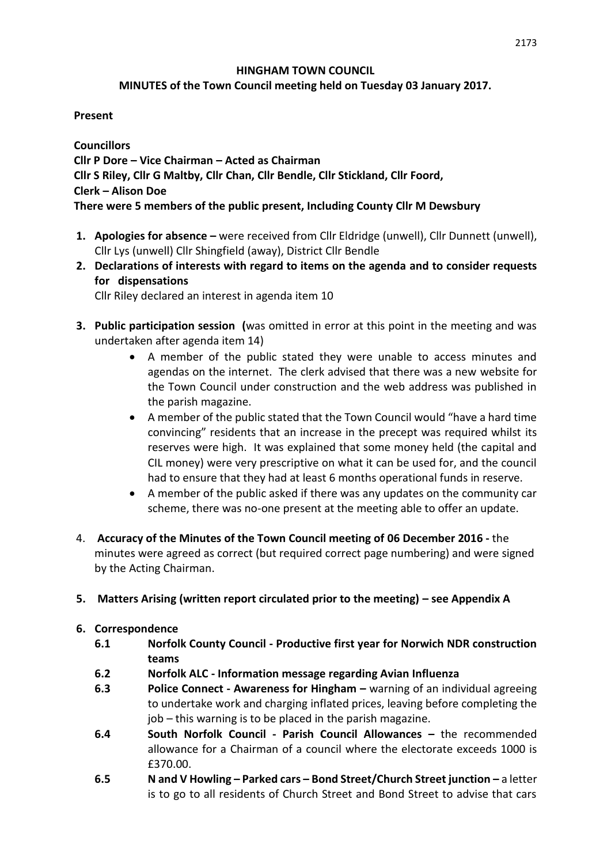# **HINGHAM TOWN COUNCIL**

# **MINUTES of the Town Council meeting held on Tuesday 03 January 2017.**

# **Present**

**Councillors Cllr P Dore – Vice Chairman – Acted as Chairman Cllr S Riley, Cllr G Maltby, Cllr Chan, Cllr Bendle, Cllr Stickland, Cllr Foord, Clerk – Alison Doe There were 5 members of the public present, Including County Cllr M Dewsbury**

- **1. Apologies for absence –** were received from Cllr Eldridge (unwell), Cllr Dunnett (unwell), Cllr Lys (unwell) Cllr Shingfield (away), District Cllr Bendle
- **2. Declarations of interests with regard to items on the agenda and to consider requests for dispensations**

Cllr Riley declared an interest in agenda item 10

- **3. Public participation session (**was omitted in error at this point in the meeting and was undertaken after agenda item 14)
	- A member of the public stated they were unable to access minutes and agendas on the internet. The clerk advised that there was a new website for the Town Council under construction and the web address was published in the parish magazine.
	- A member of the public stated that the Town Council would "have a hard time convincing" residents that an increase in the precept was required whilst its reserves were high. It was explained that some money held (the capital and CIL money) were very prescriptive on what it can be used for, and the council had to ensure that they had at least 6 months operational funds in reserve.
	- A member of the public asked if there was any updates on the community car scheme, there was no-one present at the meeting able to offer an update.
- 4. **Accuracy of the Minutes of the Town Council meeting of 06 December 2016 -** the minutes were agreed as correct (but required correct page numbering) and were signed by the Acting Chairman.
- **5. Matters Arising (written report circulated prior to the meeting) – see Appendix A**
- **6. Correspondence** 
	- **6.1 Norfolk County Council - Productive first year for Norwich NDR construction teams**
	- **6.2 Norfolk ALC - Information message regarding Avian Influenza**
	- **6.3 Police Connect - Awareness for Hingham –** warning of an individual agreeing to undertake work and charging inflated prices, leaving before completing the job – this warning is to be placed in the parish magazine.
	- **6.4 South Norfolk Council - Parish Council Allowances –** the recommended allowance for a Chairman of a council where the electorate exceeds 1000 is £370.00.
	- **6.5 N and V Howling – Parked cars – Bond Street/Church Street junction –** a letter is to go to all residents of Church Street and Bond Street to advise that cars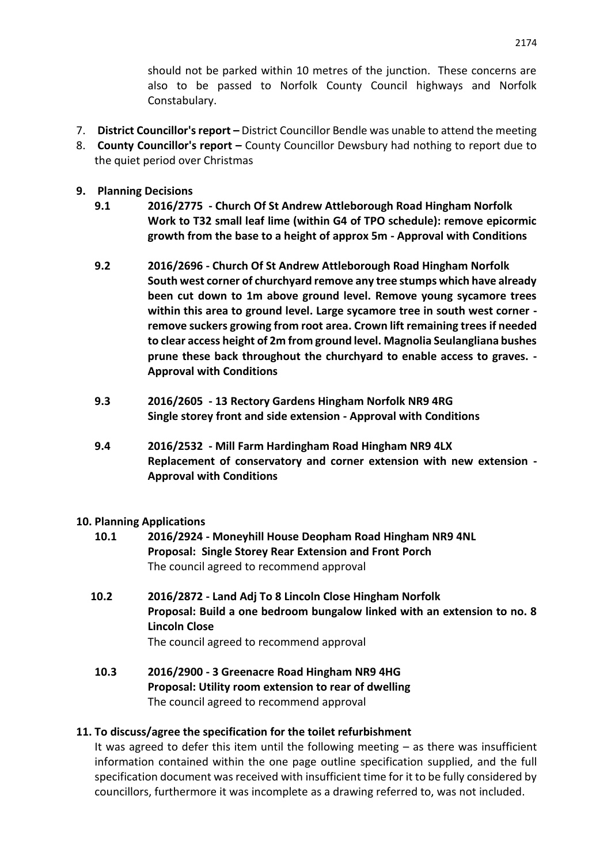should not be parked within 10 metres of the junction. These concerns are also to be passed to Norfolk County Council highways and Norfolk Constabulary.

- 7. **District Councillor's report –** District Councillor Bendle was unable to attend the meeting
- 8. **County Councillor's report –** County Councillor Dewsbury had nothing to report due to the quiet period over Christmas
- **9. Planning Decisions**
	- **9.1 2016/2775 - Church Of St Andrew Attleborough Road Hingham Norfolk Work to T32 small leaf lime (within G4 of TPO schedule): remove epicormic growth from the base to a height of approx 5m - Approval with Conditions**
	- **9.2 2016/2696 - Church Of St Andrew Attleborough Road Hingham Norfolk South west corner of churchyard remove any tree stumps which have already been cut down to 1m above ground level. Remove young sycamore trees within this area to ground level. Large sycamore tree in south west corner remove suckers growing from root area. Crown lift remaining trees if needed to clear access height of 2m from ground level. Magnolia Seulangliana bushes prune these back throughout the churchyard to enable access to graves. - Approval with Conditions**
	- **9.3 2016/2605 - 13 Rectory Gardens Hingham Norfolk NR9 4RG Single storey front and side extension - Approval with Conditions**
	- **9.4 2016/2532 - Mill Farm Hardingham Road Hingham NR9 4LX Replacement of conservatory and corner extension with new extension - Approval with Conditions**

#### **10. Planning Applications**

- **10.1 2016/2924 - Moneyhill House Deopham Road Hingham NR9 4NL Proposal: Single Storey Rear Extension and Front Porch** The council agreed to recommend approval
- **10.2 2016/2872 - Land Adj To 8 Lincoln Close Hingham Norfolk Proposal: Build a one bedroom bungalow linked with an extension to no. 8 Lincoln Close** The council agreed to recommend approval
- **10.3 2016/2900 - 3 Greenacre Road Hingham NR9 4HG Proposal: Utility room extension to rear of dwelling** The council agreed to recommend approval

#### **11. To discuss/agree the specification for the toilet refurbishment**

It was agreed to defer this item until the following meeting – as there was insufficient information contained within the one page outline specification supplied, and the full specification document was received with insufficient time for it to be fully considered by councillors, furthermore it was incomplete as a drawing referred to, was not included.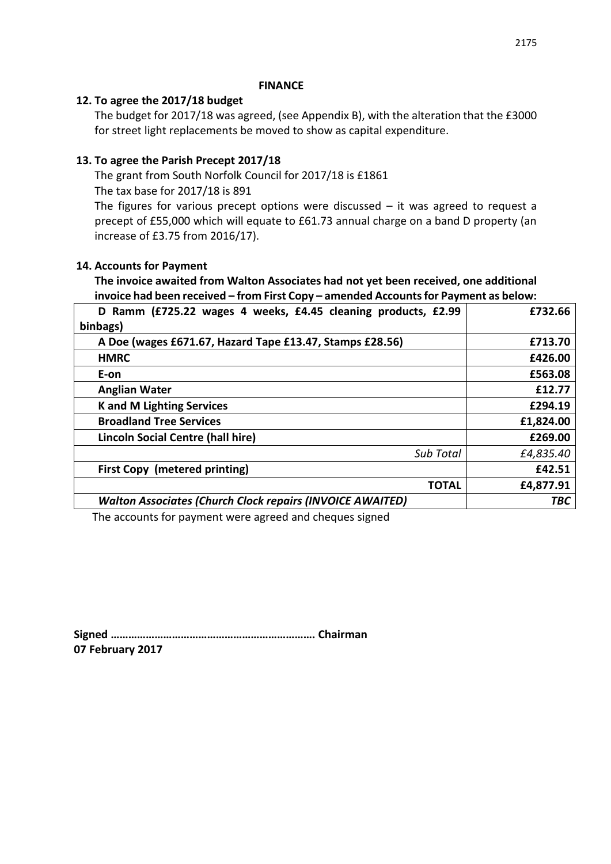#### **FINANCE**

#### **12. To agree the 2017/18 budget**

The budget for 2017/18 was agreed, (see Appendix B), with the alteration that the £3000 for street light replacements be moved to show as capital expenditure.

### **13. To agree the Parish Precept 2017/18**

The grant from South Norfolk Council for 2017/18 is £1861 The tax base for 2017/18 is 891

The figures for various precept options were discussed  $-$  it was agreed to request a precept of £55,000 which will equate to £61.73 annual charge on a band D property (an increase of £3.75 from 2016/17).

#### **14. Accounts for Payment**

# **The invoice awaited from Walton Associates had not yet been received, one additional invoice had been received – from First Copy – amended Accounts for Payment as below:**

| D Ramm (£725.22 wages 4 weeks, £4.45 cleaning products, £2.99    | £732.66    |
|------------------------------------------------------------------|------------|
| binbags)                                                         |            |
| A Doe (wages £671.67, Hazard Tape £13.47, Stamps £28.56)         | £713.70    |
| <b>HMRC</b>                                                      | £426.00    |
| E-on                                                             | £563.08    |
| <b>Anglian Water</b>                                             | £12.77     |
| <b>K</b> and M Lighting Services                                 | £294.19    |
| <b>Broadland Tree Services</b>                                   | £1,824.00  |
| Lincoln Social Centre (hall hire)                                | £269.00    |
| Sub Total                                                        | £4,835.40  |
| <b>First Copy (metered printing)</b>                             | £42.51     |
| <b>TOTAL</b>                                                     | £4,877.91  |
| <b>Walton Associates (Church Clock repairs (INVOICE AWAITED)</b> | <b>TBC</b> |

The accounts for payment were agreed and cheques signed

**Signed ……………………………………………………………. Chairman 07 February 2017**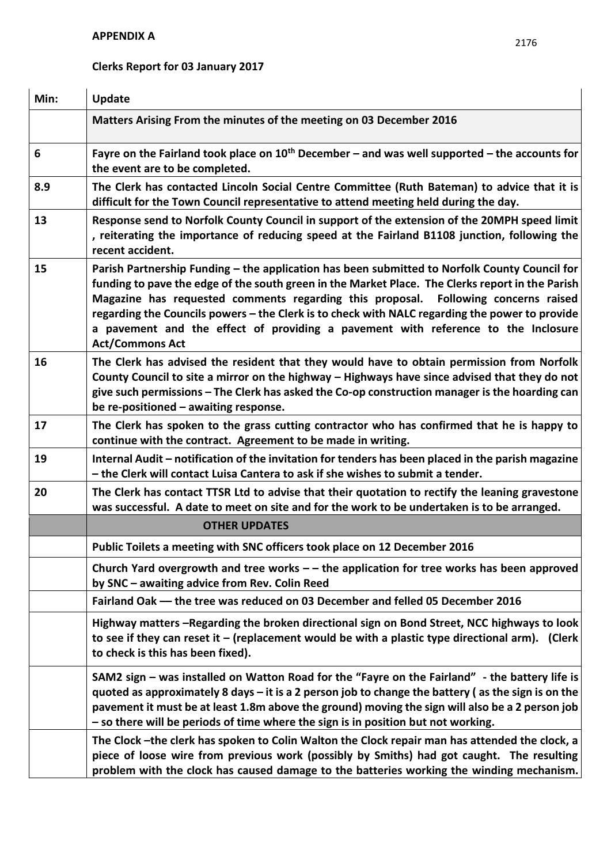# **Clerks Report for 03 January 2017**

| Min: | <b>Update</b>                                                                                                                                                                                                                                                                                                                                                                                                                                                                                            |
|------|----------------------------------------------------------------------------------------------------------------------------------------------------------------------------------------------------------------------------------------------------------------------------------------------------------------------------------------------------------------------------------------------------------------------------------------------------------------------------------------------------------|
|      | Matters Arising From the minutes of the meeting on 03 December 2016                                                                                                                                                                                                                                                                                                                                                                                                                                      |
| 6    | Fayre on the Fairland took place on $10th$ December – and was well supported – the accounts for<br>the event are to be completed.                                                                                                                                                                                                                                                                                                                                                                        |
| 8.9  | The Clerk has contacted Lincoln Social Centre Committee (Ruth Bateman) to advice that it is<br>difficult for the Town Council representative to attend meeting held during the day.                                                                                                                                                                                                                                                                                                                      |
| 13   | Response send to Norfolk County Council in support of the extension of the 20MPH speed limit<br>, reiterating the importance of reducing speed at the Fairland B1108 junction, following the<br>recent accident.                                                                                                                                                                                                                                                                                         |
| 15   | Parish Partnership Funding – the application has been submitted to Norfolk County Council for<br>funding to pave the edge of the south green in the Market Place. The Clerks report in the Parish<br>Magazine has requested comments regarding this proposal. Following concerns raised<br>regarding the Councils powers - the Clerk is to check with NALC regarding the power to provide<br>a pavement and the effect of providing a pavement with reference to the Inclosure<br><b>Act/Commons Act</b> |
| 16   | The Clerk has advised the resident that they would have to obtain permission from Norfolk<br>County Council to site a mirror on the highway - Highways have since advised that they do not<br>give such permissions - The Clerk has asked the Co-op construction manager is the hoarding can<br>be re-positioned - awaiting response.                                                                                                                                                                    |
| 17   | The Clerk has spoken to the grass cutting contractor who has confirmed that he is happy to<br>continue with the contract. Agreement to be made in writing.                                                                                                                                                                                                                                                                                                                                               |
| 19   | Internal Audit – notification of the invitation for tenders has been placed in the parish magazine<br>- the Clerk will contact Luisa Cantera to ask if she wishes to submit a tender.                                                                                                                                                                                                                                                                                                                    |
| 20   | The Clerk has contact TTSR Ltd to advise that their quotation to rectify the leaning gravestone<br>was successful. A date to meet on site and for the work to be undertaken is to be arranged.                                                                                                                                                                                                                                                                                                           |
|      | <b>OTHER UPDATES</b>                                                                                                                                                                                                                                                                                                                                                                                                                                                                                     |
|      | Public Toilets a meeting with SNC officers took place on 12 December 2016                                                                                                                                                                                                                                                                                                                                                                                                                                |
|      | Church Yard overgrowth and tree works $-$ the application for tree works has been approved<br>by SNC - awaiting advice from Rev. Colin Reed                                                                                                                                                                                                                                                                                                                                                              |
|      | Fairland Oak - the tree was reduced on 03 December and felled 05 December 2016                                                                                                                                                                                                                                                                                                                                                                                                                           |
|      | Highway matters -Regarding the broken directional sign on Bond Street, NCC highways to look<br>to see if they can reset it $-$ (replacement would be with a plastic type directional arm). (Clerk<br>to check is this has been fixed).                                                                                                                                                                                                                                                                   |
|      | SAM2 sign – was installed on Watton Road for the "Fayre on the Fairland" - the battery life is<br>quoted as approximately 8 days $-$ it is a 2 person job to change the battery (as the sign is on the<br>pavement it must be at least 1.8m above the ground) moving the sign will also be a 2 person job<br>- so there will be periods of time where the sign is in position but not working.                                                                                                           |
|      | The Clock -the clerk has spoken to Colin Walton the Clock repair man has attended the clock, a<br>piece of loose wire from previous work (possibly by Smiths) had got caught. The resulting<br>problem with the clock has caused damage to the batteries working the winding mechanism.                                                                                                                                                                                                                  |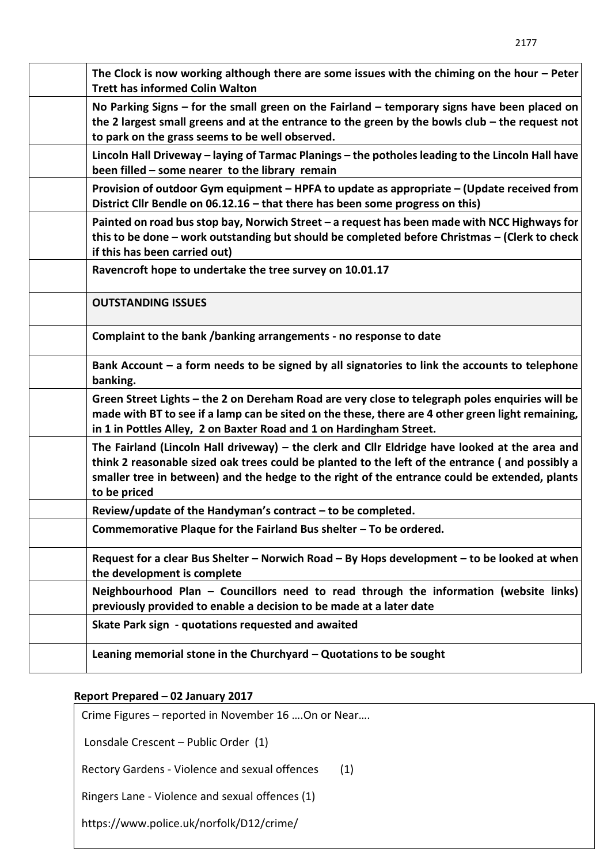| The Clock is now working although there are some issues with the chiming on the hour $-$ Peter<br><b>Trett has informed Colin Walton</b>                                                                                                                                                                           |
|--------------------------------------------------------------------------------------------------------------------------------------------------------------------------------------------------------------------------------------------------------------------------------------------------------------------|
| No Parking Signs $-$ for the small green on the Fairland $-$ temporary signs have been placed on<br>the 2 largest small greens and at the entrance to the green by the bowls club $-$ the request not<br>to park on the grass seems to be well observed.                                                           |
| Lincoln Hall Driveway – laying of Tarmac Planings – the potholes leading to the Lincoln Hall have<br>been filled - some nearer to the library remain                                                                                                                                                               |
| Provision of outdoor Gym equipment – HPFA to update as appropriate – (Update received from<br>District Cllr Bendle on 06.12.16 - that there has been some progress on this)                                                                                                                                        |
| Painted on road bus stop bay, Norwich Street - a request has been made with NCC Highways for<br>this to be done - work outstanding but should be completed before Christmas - (Clerk to check<br>if this has been carried out)                                                                                     |
| Ravencroft hope to undertake the tree survey on 10.01.17                                                                                                                                                                                                                                                           |
| <b>OUTSTANDING ISSUES</b>                                                                                                                                                                                                                                                                                          |
| Complaint to the bank /banking arrangements - no response to date                                                                                                                                                                                                                                                  |
| Bank Account $-$ a form needs to be signed by all signatories to link the accounts to telephone<br>banking.                                                                                                                                                                                                        |
| Green Street Lights - the 2 on Dereham Road are very close to telegraph poles enquiries will be<br>made with BT to see if a lamp can be sited on the these, there are 4 other green light remaining,<br>in 1 in Pottles Alley, 2 on Baxter Road and 1 on Hardingham Street.                                        |
| The Fairland (Lincoln Hall driveway) – the clerk and Cllr Eldridge have looked at the area and<br>think 2 reasonable sized oak trees could be planted to the left of the entrance (and possibly a<br>smaller tree in between) and the hedge to the right of the entrance could be extended, plants<br>to be priced |
| Review/update of the Handyman's contract - to be completed.                                                                                                                                                                                                                                                        |
| Commemorative Plaque for the Fairland Bus shelter $-$ To be ordered.                                                                                                                                                                                                                                               |
| Request for a clear Bus Shelter - Norwich Road - By Hops development - to be looked at when<br>the development is complete                                                                                                                                                                                         |
| Neighbourhood Plan - Councillors need to read through the information (website links)<br>previously provided to enable a decision to be made at a later date                                                                                                                                                       |
| Skate Park sign - quotations requested and awaited                                                                                                                                                                                                                                                                 |
| Leaning memorial stone in the Churchyard $-$ Quotations to be sought                                                                                                                                                                                                                                               |

# **Report Prepared – 02 January 2017**

Crime Figures – reported in November 16 ….On or Near….

Lonsdale Crescent – Public Order (1)

Rectory Gardens - Violence and sexual offences (1)

Ringers Lane - Violence and sexual offences (1)

https://www.police.uk/norfolk/D12/crime/